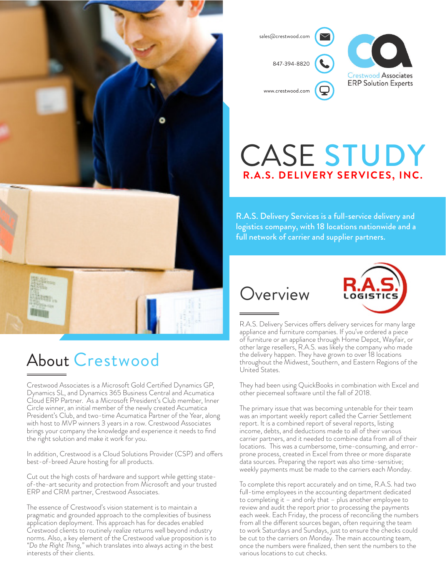

About Crestwood

Crestwood Associates is a Microsoft Gold Certified Dynamics GP, Dynamics SL, and Dynamics 365 Business Central and Acumatica Cloud ERP Partner. As a Microsoft President's Club member, Inner Circle winner, an initial member of the newly created Acumatica President's Club, and two-time Acumatica Partner of the Year, along with host to MVP winners 3 years in a row. Crestwood Associates brings your company the knowledge and experience it needs to find the right solution and make it work for you.

In addition, Crestwood is a Cloud Solutions Provider (CSP) and offers best-of-breed Azure hosting for all products.

Cut out the high costs of hardware and support while getting stateof-the-art security and protection from Microsoft and your trusted ERP and CRM partner, Crestwood Associates.

The essence of Crestwood's vision statement is to maintain a pragmatic and grounded approach to the complexities of business application deployment. This approach has for decades enabled Crestwood clients to routinely realize returns well beyond industry norms. Also, a key element of the Crestwood value proposition is to *"Do the Right Thing,"* which translates into always acting in the best interests of their clients.



## CASE STUDY **R.A.S. DELIVERY SERVICES, INC.**

R.A.S. Delivery Services is a full-service delivery and logistics company, with 18 locations nationwide and a full network of carrier and supplier partners.

### **Overview**



R.A.S. Delivery Services offers delivery services for many large appliance and furniture companies. If you've ordered a piece of furniture or an appliance through Home Depot, Wayfair, or other large resellers, R.A.S. was likely the company who made the delivery happen. They have grown to over 18 locations throughout the Midwest, Southern, and Eastern Regions of the United States.

They had been using QuickBooks in combination with Excel and other piecemeal software until the fall of 2018.

The primary issue that was becoming untenable for their team was an important weekly report called the Carrier Settlement report. It is a combined report of several reports, listing income, debts, and deductions made to all of their various carrier partners, and it needed to combine data from all of their locations. This was a cumbersome, time-consuming, and errorprone process, created in Excel from three or more disparate data sources. Preparing the report was also time-sensitive; weekly payments must be made to the carriers each Monday.

To complete this report accurately and on time, R.A.S. had two full-time employees in the accounting department dedicated to completing it – and only that – plus another employee to review and audit the report prior to processing the payments each week. Each Friday, the process of reconciling the numbers from all the different sources began, often requiring the team to work Saturdays and Sundays, just to ensure the checks could be cut to the carriers on Monday. The main accounting team, once the numbers were finalized, then sent the numbers to the various locations to cut checks.